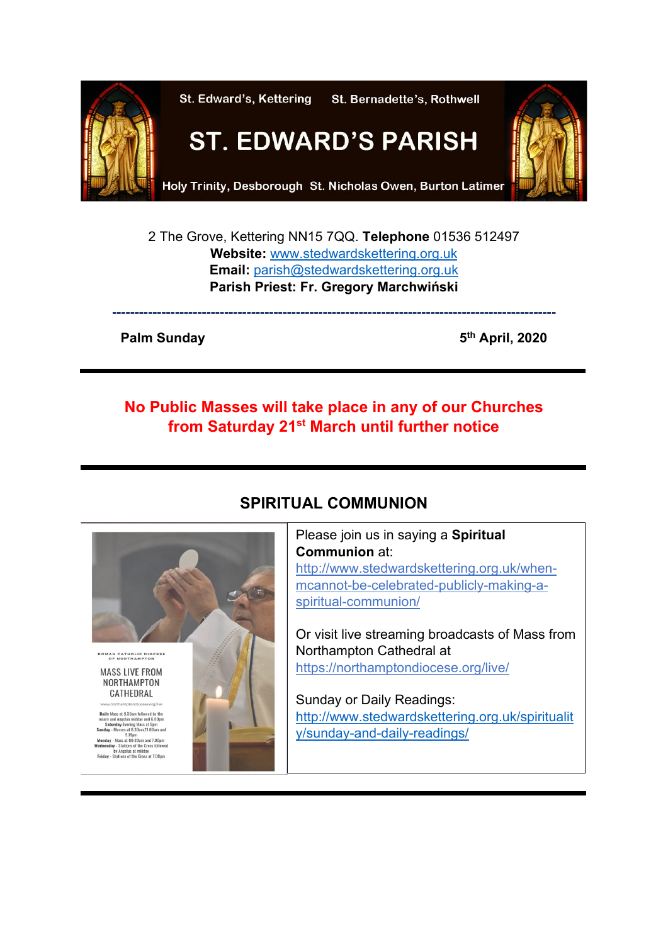

2 The Grove, Kettering NN15 7QQ. **Telephone** 01536 512497 **Website:** [www.stedwardskettering.org.uk](http://www.stedwardskettering.org.uk/) **Email:** [parish@stedwardskettering.org.uk](mailto:parish@stedwardskettering.org.uk) **Parish Priest: Fr. Gregory Marchwiński**

**---------------------------------------------------------------------------------------------------**

**Palm Sunday 6th April, 2020** 

### **No Public Masses will take place in any of our Churches from Saturday 21st March until further notice**



## **SPIRITUAL COMMUNION**

Ļ

Please join us in saying a **Spiritual Communion** at: [http://www.stedwardskettering.org.uk/when](http://www.stedwardskettering.org.uk/when-mass-cannot-be-celebrated-publicly-making-a-spiritual-communion/)[mcannot-be-celebrated-publicly-making-a](http://www.stedwardskettering.org.uk/when-mass-cannot-be-celebrated-publicly-making-a-spiritual-communion/)[spiritual-communion/](http://www.stedwardskettering.org.uk/when-mass-cannot-be-celebrated-publicly-making-a-spiritual-communion/)

Or visit live streaming broadcasts of Mass from Northampton Cathedral at <https://northamptondiocese.org/live/>

Sunday or Daily Readings: [http://www.stedwardskettering.org.uk/spiritualit](http://www.stedwardskettering.org.uk/spirituality/sunday-and-daily-readings/) [y/sunday-and-daily-readings/](http://www.stedwardskettering.org.uk/spirituality/sunday-and-daily-readings/)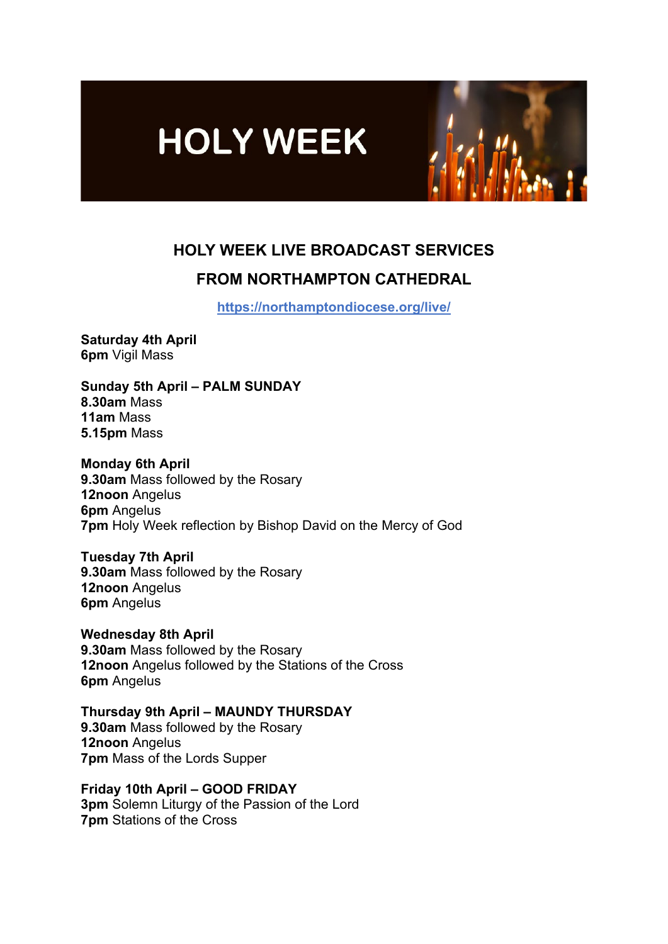



# **HOLY WEEK LIVE BROADCAST SERVICES FROM NORTHAMPTON CATHEDRAL**

**<https://northamptondiocese.org/live/>**

**Saturday 4th April 6pm** Vigil Mass

**Sunday 5th April – PALM SUNDAY 8.30am** Mass **11am** Mass **5.15pm** Mass

**Monday 6th April 9.30am** Mass followed by the Rosary

**12noon** Angelus **6pm** Angelus **7pm** Holy Week reflection by Bishop David on the Mercy of God

**Tuesday 7th April 9.30am** Mass followed by the Rosary **12noon** Angelus **6pm** Angelus

**Wednesday 8th April 9.30am** Mass followed by the Rosary **12noon** Angelus followed by the Stations of the Cross **6pm** Angelus

**Thursday 9th April – MAUNDY THURSDAY 9.30am** Mass followed by the Rosary **12noon** Angelus **7pm** Mass of the Lords Supper

**Friday 10th April – GOOD FRIDAY 3pm** Solemn Liturgy of the Passion of the Lord **7pm** Stations of the Cross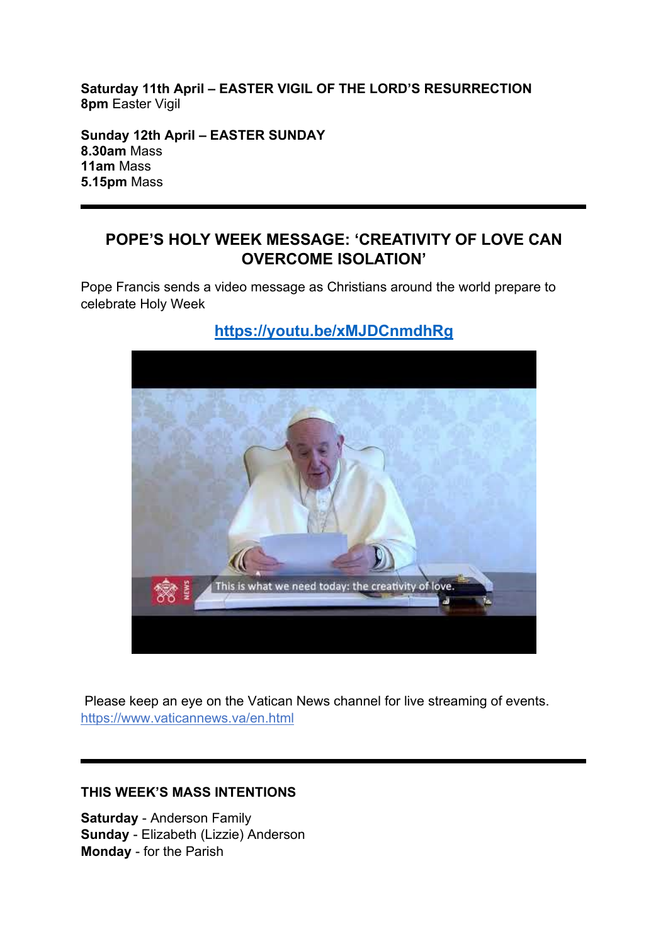**Saturday 11th April – EASTER VIGIL OF THE LORD'S RESURRECTION 8pm** Easter Vigil

**Sunday 12th April – EASTER SUNDAY 8.30am** Mass **11am** Mass **5.15pm** Mass

### **POPE'S HOLY WEEK MESSAGE: 'CREATIVITY OF LOVE CAN OVERCOME ISOLATION'**

Pope Francis sends a video message as Christians around the world prepare to celebrate Holy Week



## **[https://youtu.be/x](https://youtu.be/xMJDCnmdhRg)MJDCnmdhRg**

Please keep an eye on the Vatican News channel for live streaming of events. <https://www.vaticannews.va/en.html>

### **THIS WEEK'S MASS INTENTIONS**

**Saturday** - Anderson Family **Sunday** - Elizabeth (Lizzie) Anderson **Monday** - for the Parish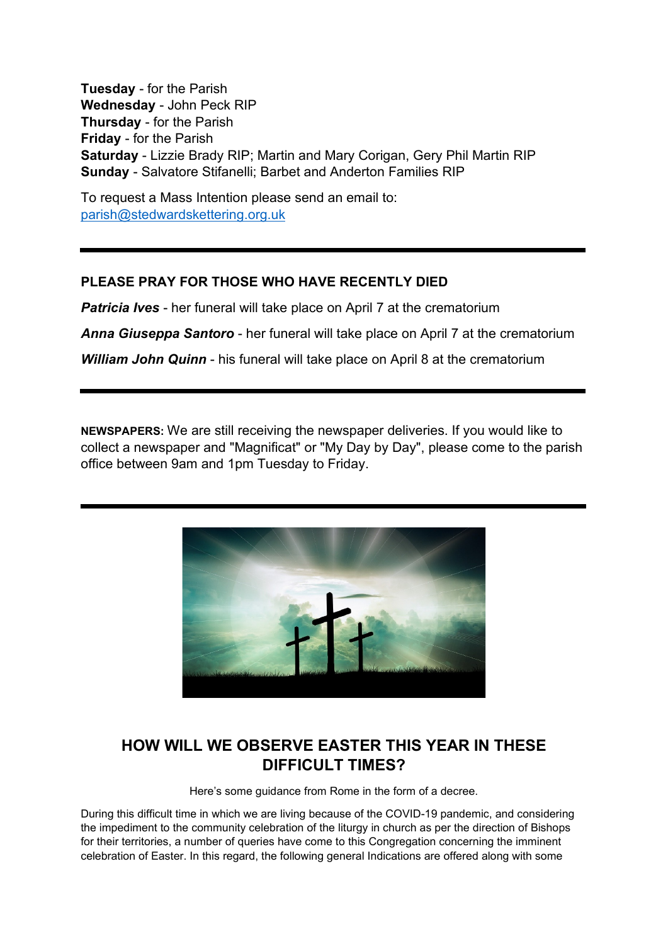**Tuesday** - for the Parish **Wednesday** - John Peck RIP **Thursday** - for the Parish **Friday** - for the Parish **Saturday** - Lizzie Brady RIP; Martin and Mary Corigan, Gery Phil Martin RIP **Sunday** - Salvatore Stifanelli; Barbet and Anderton Families RIP

To request a Mass Intention please send an email to: [parish@stedwardskettering.org.uk](mailto:parish@stedwardskettering.org.uk)

### **PLEASE PRAY FOR THOSE WHO HAVE RECENTLY DIED**

*Patricia Ives* - her funeral will take place on April 7 at the crematorium

*Anna Giuseppa Santoro* - her funeral will take place on April 7 at the crematorium

*William John Quinn* - his funeral will take place on April 8 at the crematorium

**NEWSPAPERS:** We are still receiving the newspaper deliveries. If you would like to collect a newspaper and "Magnificat" or "My Day by Day", please come to the parish office between 9am and 1pm Tuesday to Friday.



### **HOW WILL WE OBSERVE EASTER THIS YEAR IN THESE DIFFICULT TIMES?**

Here's some guidance from Rome in the form of a decree.

During this difficult time in which we are living because of the COVID-19 pandemic, and considering the impediment to the community celebration of the liturgy in church as per the direction of Bishops for their territories, a number of queries have come to this Congregation concerning the imminent celebration of Easter. In this regard, the following general Indications are offered along with some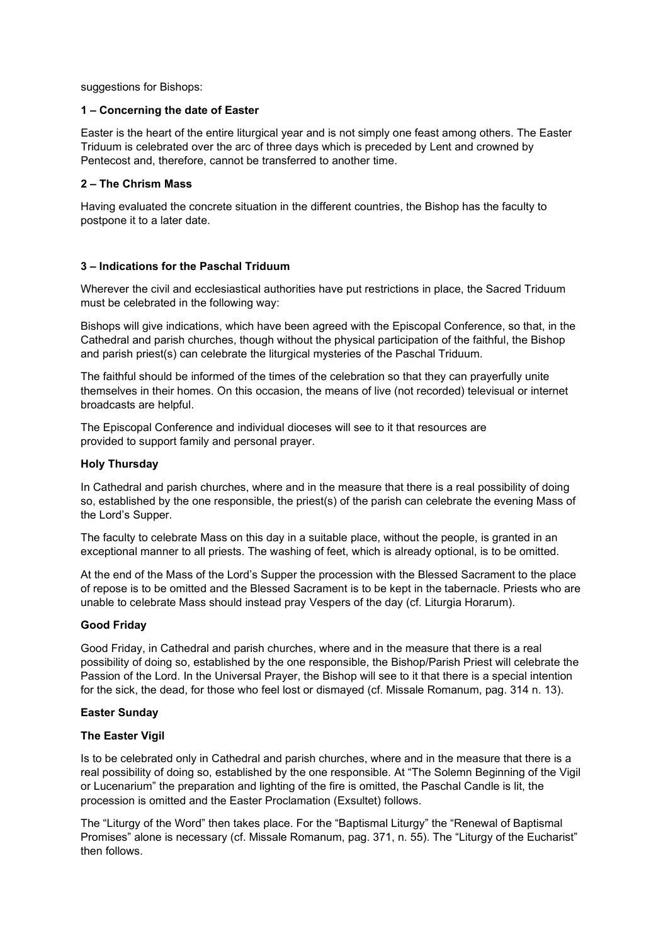suggestions for Bishops:

### **1 – Concerning the date of Easter**

Easter is the heart of the entire liturgical year and is not simply one feast among others. The Easter Triduum is celebrated over the arc of three days which is preceded by Lent and crowned by Pentecost and, therefore, cannot be transferred to another time.

### **2 – The Chrism Mass**

Having evaluated the concrete situation in the different countries, the Bishop has the faculty to postpone it to a later date.

#### **3 – Indications for the Paschal Triduum**

Wherever the civil and ecclesiastical authorities have put restrictions in place, the Sacred Triduum must be celebrated in the following way:

Bishops will give indications, which have been agreed with the Episcopal Conference, so that, in the Cathedral and parish churches, though without the physical participation of the faithful, the Bishop and parish priest(s) can celebrate the liturgical mysteries of the Paschal Triduum.

The faithful should be informed of the times of the celebration so that they can prayerfully unite themselves in their homes. On this occasion, the means of live (not recorded) televisual or internet broadcasts are helpful.

The Episcopal Conference and individual dioceses will see to it that resources are provided to support family and personal prayer.

#### **Holy Thursday**

In Cathedral and parish churches, where and in the measure that there is a real possibility of doing so, established by the one responsible, the priest(s) of the parish can celebrate the evening Mass of the Lord's Supper.

The faculty to celebrate Mass on this day in a suitable place, without the people, is granted in an exceptional manner to all priests. The washing of feet, which is already optional, is to be omitted.

At the end of the Mass of the Lord's Supper the procession with the Blessed Sacrament to the place of repose is to be omitted and the Blessed Sacrament is to be kept in the tabernacle. Priests who are unable to celebrate Mass should instead pray Vespers of the day (cf. Liturgia Horarum).

### **Good Friday**

Good Friday, in Cathedral and parish churches, where and in the measure that there is a real possibility of doing so, established by the one responsible, the Bishop/Parish Priest will celebrate the Passion of the Lord. In the Universal Prayer, the Bishop will see to it that there is a special intention for the sick, the dead, for those who feel lost or dismayed (cf. Missale Romanum, pag. 314 n. 13).

#### **Easter Sunday**

#### **The Easter Vigil**

Is to be celebrated only in Cathedral and parish churches, where and in the measure that there is a real possibility of doing so, established by the one responsible. At "The Solemn Beginning of the Vigil or Lucenarium" the preparation and lighting of the fire is omitted, the Paschal Candle is lit, the procession is omitted and the Easter Proclamation (Exsultet) follows.

The "Liturgy of the Word" then takes place. For the "Baptismal Liturgy" the "Renewal of Baptismal Promises" alone is necessary (cf. Missale Romanum, pag. 371, n. 55). The "Liturgy of the Eucharist" then follows.